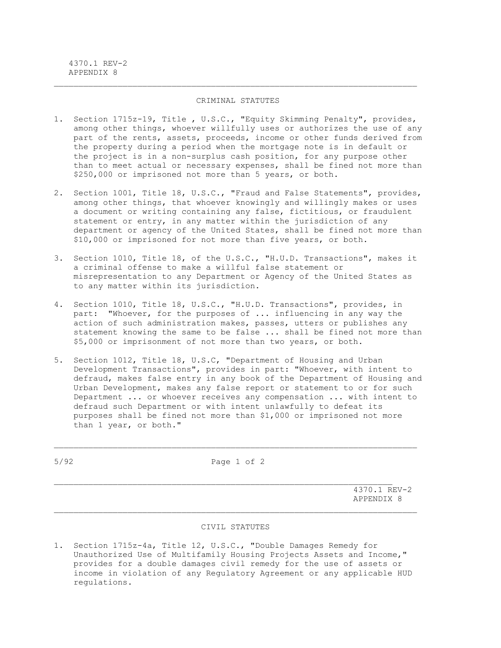## CRIMINAL STATUTES

- 1. Section 1715z-19, Title , U.S.C., "Equity Skimming Penalty", provides, among other things, whoever willfully uses or authorizes the use of any part of the rents, assets, proceeds, income or other funds derived from the property during a period when the mortgage note is in default or the project is in a non-surplus cash position, for any purpose other than to meet actual or necessary expenses, shall be fined not more than \$250,000 or imprisoned not more than 5 years, or both.
- 2. Section 1001, Title 18, U.S.C., "Fraud and False Statements", provides, among other things, that whoever knowingly and willingly makes or uses a document or writing containing any false, fictitious, or fraudulent statement or entry, in any matter within the jurisdiction of any department or agency of the United States, shall be fined not more than \$10,000 or imprisoned for not more than five years, or both.
- 3. Section 1010, Title 18, of the U.S.C., "H.U.D. Transactions", makes it a criminal offense to make a willful false statement or misrepresentation to any Department or Agency of the United States as to any matter within its jurisdiction.
- 4. Section 1010, Title 18, U.S.C., "H.U.D. Transactions", provides, in part: "Whoever, for the purposes of ... influencing in any way the action of such administration makes, passes, utters or publishes any statement knowing the same to be false ... shall be fined not more than \$5,000 or imprisonment of not more than two years, or both.
- 5. Section 1012, Title 18, U.S.C, "Department of Housing and Urban Development Transactions", provides in part: "Whoever, with intent to defraud, makes false entry in any book of the Department of Housing and Urban Development, makes any false report or statement to or for such Department ... or whoever receives any compensation ... with intent to defraud such Department or with intent unlawfully to defeat its purposes shall be fined not more than \$1,000 or imprisoned not more than 1 year, or both."

5/92 Page 1 of 2

\_\_\_\_\_\_\_\_\_\_\_\_\_\_\_\_\_\_\_\_\_\_\_\_\_\_\_\_\_\_\_\_\_\_\_\_\_\_\_\_\_\_\_\_\_\_\_\_\_\_\_\_\_\_\_\_\_\_\_\_\_\_\_\_\_\_\_\_\_

 4370.1 REV-2 APPENDIX 8

## CIVIL STATUTES

 $\mathcal{L}_\text{max}$ 

1. Section 1715z-4a, Title 12, U.S.C., "Double Damages Remedy for Unauthorized Use of Multifamily Housing Projects Assets and Income," provides for a double damages civil remedy for the use of assets or income in violation of any Regulatory Agreement or any applicable HUD regulations.